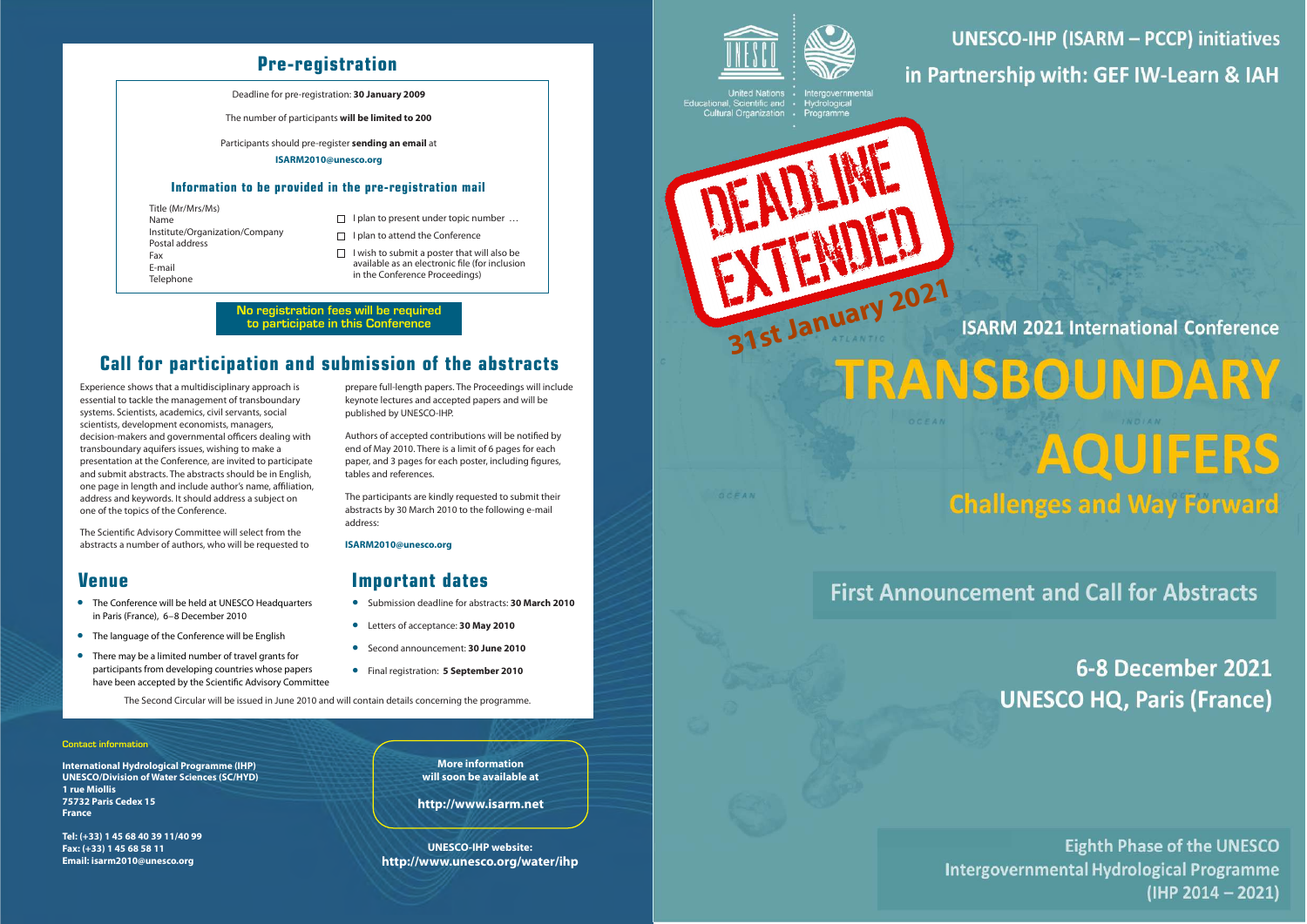

**UNESCO-IHP (ISARM - PCCP) initiatives** in Partnership with: GEF IW-Learn & IAH

United Nations<br>Educational, Scientific and<br>Cultural Organization

OCFAN





**ISARM 2021 International Conference** 

TRANSBOUNDARY AQUIFERS **Challenges and Way Forward** 

**First Announcement and Call for Abstracts** 

6-8 December 2021 **UNESCO HQ, Paris (France)** 

**Eighth Phase of the UNESCO Intergovernmental Hydrological Programme** (IHP 2014 - 2021)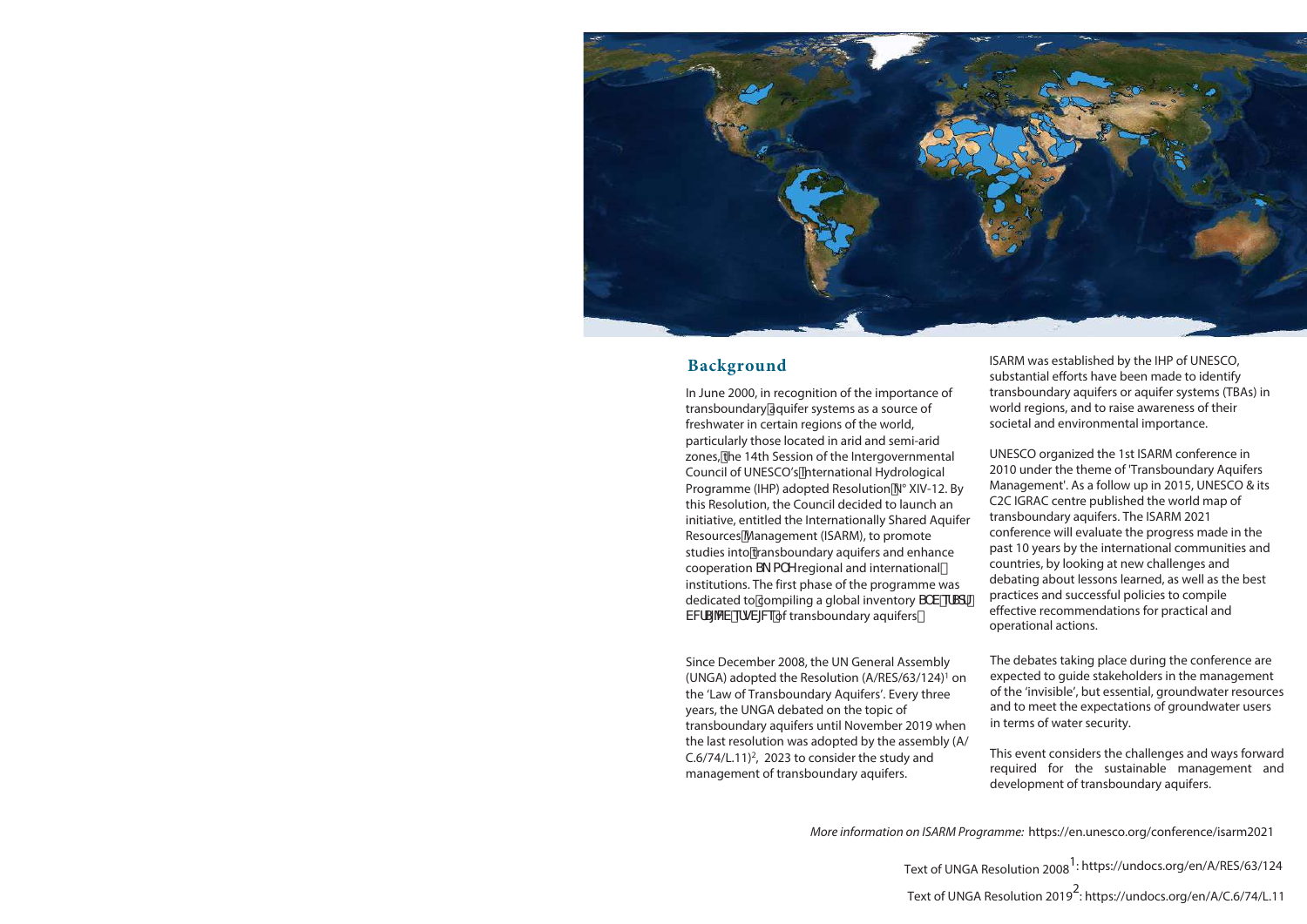

### **Background**

In June 2000, in recognition of the importance of transboundary aquifer systems as a source of freshwater in certain regions of the world, particularly those located in arid and semi-arid zones, the 14th Session of the Intergovernmental Council of UNESCO's International Hydrological Programme (IHP) adopted Resolution N° XIV-12. By this Resolution, the Council decided to launch an initiative, entitled the Internationally Shared Aquifer Resources Management (ISARM), to promote studies into transboundary aquifers and enhance cooperation  $S_A \cap Y$  regional and international institutions. The first phase of the programme was dedicated to compiling a global inventory S V efsd VVIS[VV efgV[V&of transboundary aquifersž

Since December 2008, the UN General Assembly (UNGA) adopted the Resolution (A/RES/63/124) <sup>1</sup> on the 'Law of Transboundary Aquifers'. Every three years, the UNGA debated on the topic of transboundary aquifers until November 2019 when the last resolution was adopted by the assembly (A/ C.6/74/L.11) 2, 2023 to consider the study and management of transboundary aquifers.

ISARM was established by the IHP of UNESCO, substantial efforts have been made to identify transboundary aquifers or aquifer systems (TBAs) in world regions, and to raise awareness of their societal and environmental importance.

UNESCO organized the 1st ISARM conference in 2010 under the theme of 'Transboundary Aquifers Management'. As a follow up in 2015, UNESCO & its C2C IGRAC centre published the world map of transboundary aquifers. The ISARM 2021 conference will evaluate the progress made in the past 10 years by the international communities and countries, by looking at new challenges and debating about lessons learned, as well as the best practices and successful policies to compile effective recommendations for practical and operational actions.

The debates taking place during the conference are expected to guide stakeholders in the management of the 'invisible', but essential, groundwater resources and to meet the expectations of groundwater users in terms of water security.

This event considers the challenges and ways forward required for the sustainable management and development of transboundary aquifers.

*More information on ISARM Programme:* https://en.unesco.org/conference/isarm2021

Text of UNGA Resolution 2008<sup>1</sup>: https://undocs.org/en/A/RES/63/124

Text of UNGA Resolution 2019 2: https://undocs.org/en/A/C.6/74/L.11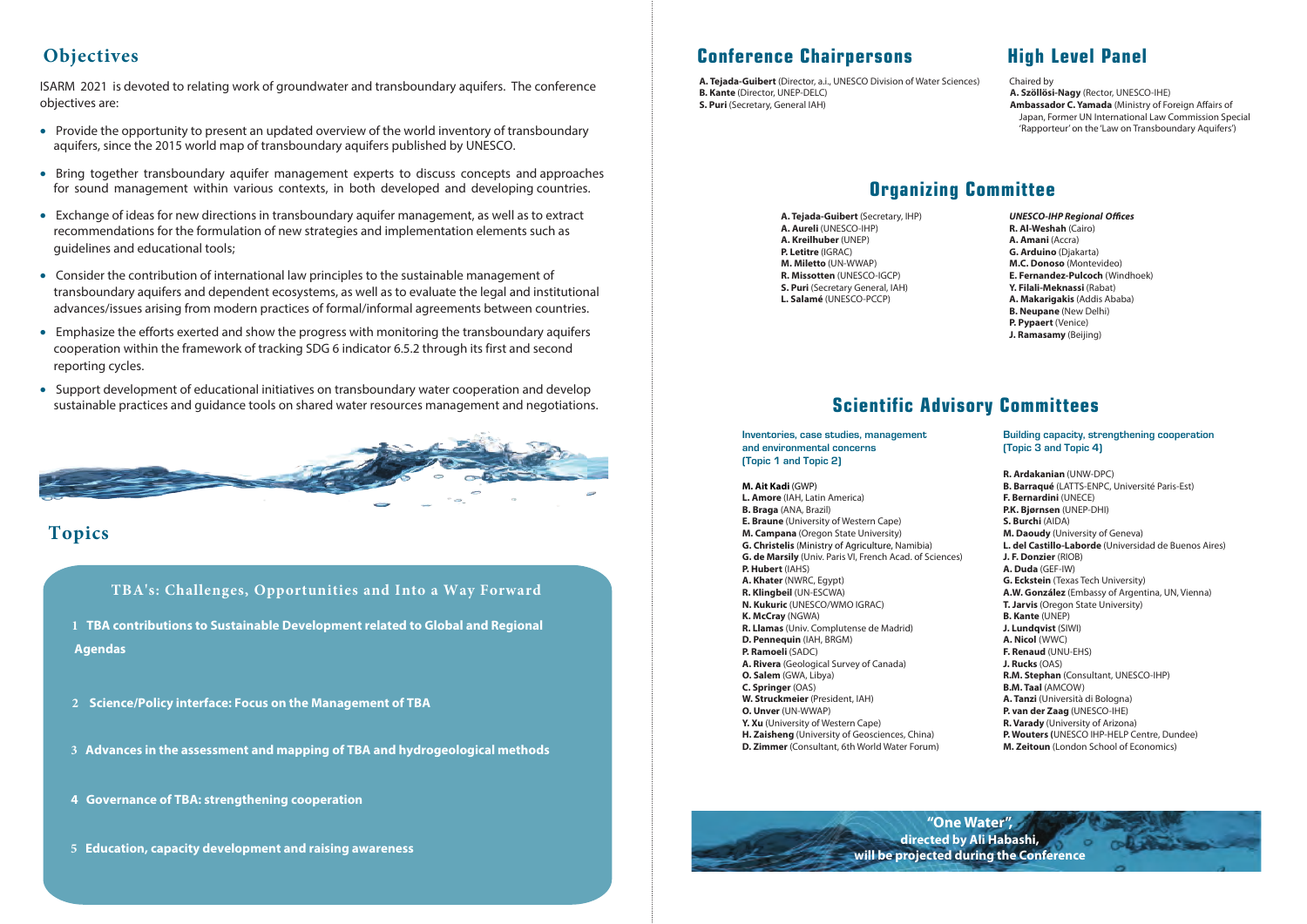# **Objectives**

ISARM 2021 is devoted to relating work of groundwater and transboundary aquifers. The conference objectives are:

- Provide the opportunity to present an updated overview of the world inventory of transboundary aquifers, since the 2015 world map of transboundary aquifers published by UNESCO.
- Bring together transboundary aquifer management experts to discuss concepts and approaches for sound management within various contexts, in both developed and developing countries.
- Exchange of ideas for new directions in transboundary aquifer management, as well as to extract recommendations for the formulation of new strategies and implementation elements such as guidelines and educational tools;
- Consider the contribution of international law principles to the sustainable management of transboundary aquifers and dependent ecosystems, as well as to evaluate the legal and institutional advances/issues arising from modern practices of formal/informal agreements between countries.
- Emphasize the efforts exerted and show the progress with monitoring the transboundary aquifers cooperation within the framework of tracking SDG 6 indicator 6.5.2 through its first and second reporting cycles.
- Support development of educational initiatives on transboundary water cooperation and develop sustainable practices and guidance tools on shared water resources management and negotiations.



# **Topics**

**TBA's: Challenges, Opportunities and Into a Way Forward**

**<sup>1</sup> TBA contributions to Sustainable Development related to Global and Regional Agendas**

- **<sup>2</sup> Science/Policy interface: Focus on the Management of TBA**
- **<sup>3</sup> Advances in the assessment and mapping of TBA and hydrogeological methods**
- **4 Governance of TBA: strengthening cooperation**
- **<sup>5</sup> Education, capacity development and raising awareness**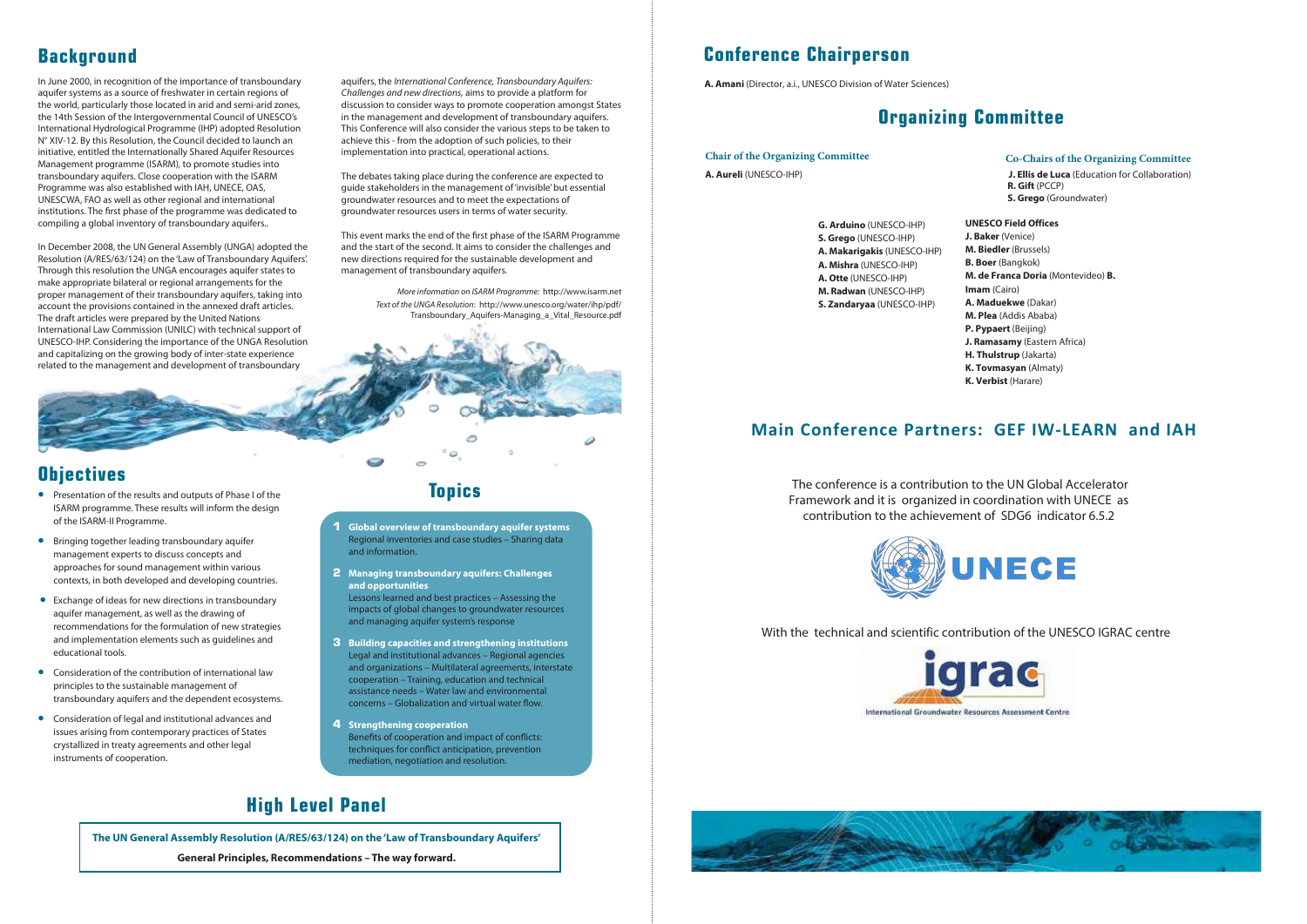# **Background Conference Chairperson**

**A. Amani** (Director, a.i., UNESCO Division of Water Sciences)

# **Organizing Committee**

#### **Chair of the Organizing Committee**

**A. Aureli** (UNESCO-IHP)

#### **Co-Chairs of the Organizing Committee**

**J. Ellis de Luca** (Education for Collaboration)  **R. Gift** (PCCP)  **S. Grego** (Groundwater)

- **G. Arduino** (UNESCO-IHP) **S. Grego** (UNESCO-IHP) **A. Makarigakis** (UNESCO-IHP) **A. Mishra** (UNESCO-IHP) **A. Otte** (UNESCO-IHP) **M. Radwan** (UNESCO-IHP) **S. Zandaryaa** (UNESCO-IHP)
- **UNESCO Field Offices J. Baker** (Venice) **M. Biedler** (Brussels) **B. Boer** (Bangkok) **M. de Franca Doria** (Montevideo) **B. Imam** (Cairo) **A. Maduekwe** (Dakar) **M. Plea** (Addis Ababa) **P. Pypaert** (Beijing) **J. Ramasamy** (Eastern Africa) **H. Thulstrup** (Jakarta) **K. Tovmasyan** (Almaty) **K. Verbist** (Harare)

### **Main Conference Partners: GEF IW-LEARN and IAH**

 The conference is a contribution to the UN Global Accelerator Framework and it is organized in coordination with UNECE as contribution to the achievement of SDG6 indicator 6.5.2



With the technical and scientific contribution of the UNESCO IGRAC centre



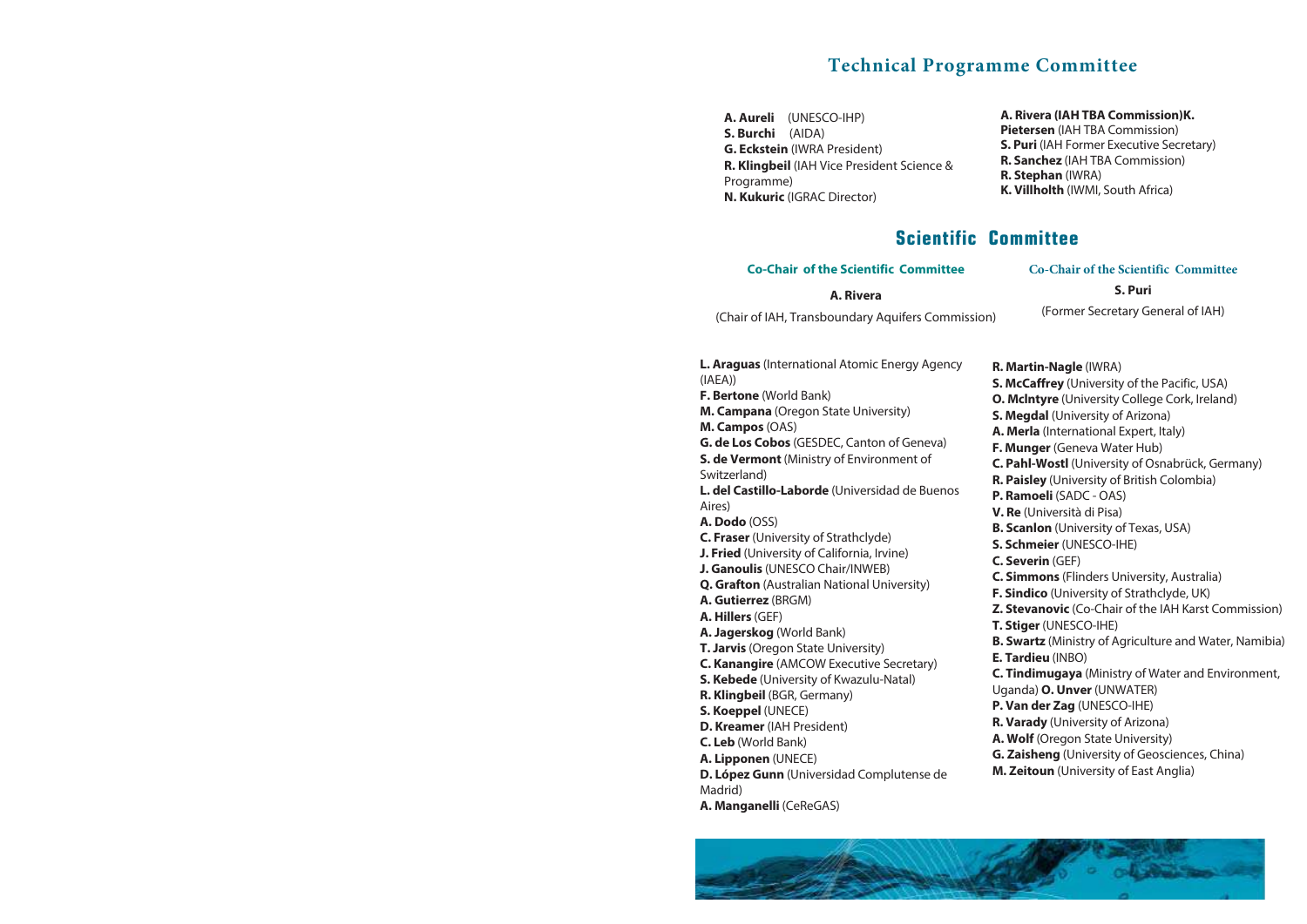### **Technical Programme Committee**

**A. Aureli** (UNESCO-IHP) **S. Burchi** (AIDA) **G. Eckstein** (IWRA President) **R. Klingbeil** (IAH Vice President Science & Programme) **N. Kukuric** (IGRAC Director)

#### **A. Rivera (IAH TBA Commission)K.**

- **Pietersen** (IAH TBA Commission)
- **S. Puri** (IAH Former Executive Secretary)
- **R. Sanchez** (IAH TBA Commission)
- **R. Stephan** (IWRA)
- **K. Villholth** (IWMI, South Africa)

### **Scientific Committee**

#### **Co-Chair of the Scientific Committee**

#### **A. Rivera**

(Chair of IAH, Transboundary Aquifers Commission)

**Co-Chair of the Scientific Committee** 

#### **S. Puri**

(Former Secretary General of IAH)

- **L. Araguas** (International Atomic Energy Agency (IAEA))
- **F. Bertone** (World Bank)

**M. Campana** (Oregon State University)

**M. Campos** (OAS)

**G. de Los Cobos** (GESDEC, Canton of Geneva) **S. de Vermont** (Ministry of Environment of

Switzerland)

**L. del Castillo-Laborde** (Universidad de Buenos Aires)

**A. Dodo** (OSS)

- **C. Fraser** (University of Strathclyde)
- **J. Fried** (University of California, Irvine)
- **J. Ganoulis** (UNESCO Chair/INWEB)
- **Q. Grafton** (Australian National University)
- **A. Gutierrez** (BRGM)
- **A. Hillers** (GEF)
- **A. Jagerskog** (World Bank)
- **T. Jarvis** (Oregon State University)
- **C. Kanangire** (AMCOW Executive Secretary)
- **S. Kebede** (University of Kwazulu-Natal)
- **R. Klingbeil** (BGR, Germany)
- **S. Koeppel** (UNECE)
- **D. Kreamer** (IAH President)
- **C. Leb** (World Bank)
- **A. Lipponen** (UNECE)

**D. López Gunn** (Universidad Complutense de Madrid)

**A. Manganelli** (CeReGAS)

- **R. Martin-Nagle** (IWRA)
- **S. McCaffrey** (University of the Pacific, USA)
- **O. Mclntyre** (University College Cork, Ireland)
- **S. Megdal** (University of Arizona)
- **A. Merla** (International Expert, Italy)
- **F. Munger** (Geneva Water Hub)
- **C. Pahl-Wostl** (University of Osnabrück, Germany)
- **R. Paisley** (University of British Colombia)
- **P. Ramoeli** (SADC OAS)
- **V. Re** (Università di Pisa)
- **B. Scanlon** (University of Texas, USA)
- **S. Schmeier** (UNESCO-IHE)
- **C. Severin** (GEF)
- **C. Simmons** (Flinders University, Australia)
- **F. Sindico** (University of Strathclyde, UK)
- **Z. Stevanovic** (Co-Chair of the IAH Karst Commission)
- **T. Stiger** (UNESCO-IHE)
- **B. Swartz** (Ministry of Agriculture and Water, Namibia)
- **E. Tardieu** (INBO)
- **C. Tindimugaya** (Ministry of Water and Environment,
- Uganda) **O. Unver** (UNWATER)
- **P. Van der Zag** (UNESCO-IHE)
- **R. Varady** (University of Arizona)
- **A. Wolf** (Oregon State University)
- **G. Zaisheng** (University of Geosciences, China)
- **M. Zeitoun** (University of East Anglia)

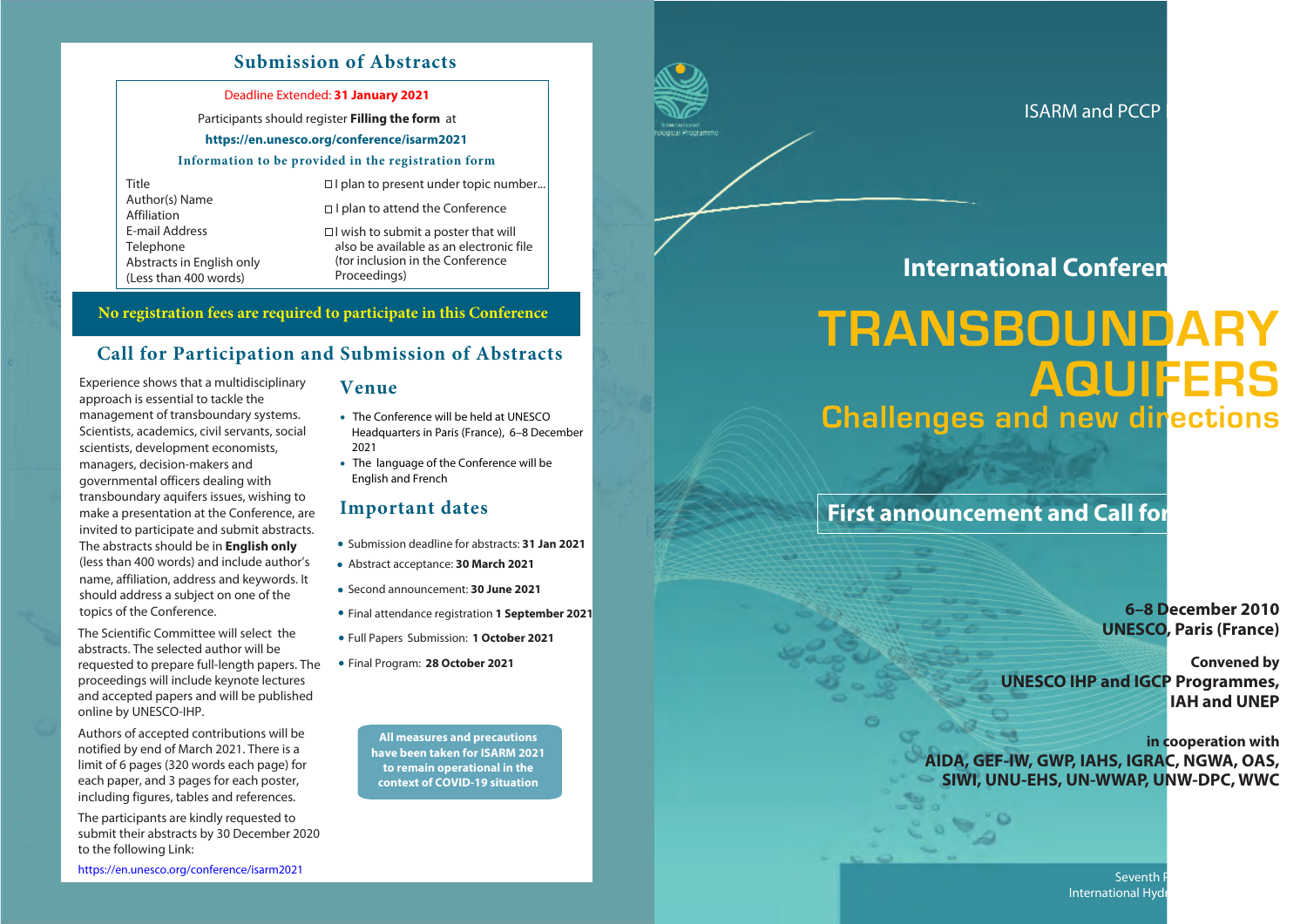### **Submission of Abstracts**

#### Deadline Extended: **31 January 2021**

#### Participants should register **Filling the form** at

#### **https://en.unesco.org/conference/isarm2021**

#### **Information to be provided in the registration form**

Title Author(s) Name Affiliation E-mail Address Telephone Abstracts in English only (Less than 400 words)

 $\Box$  I plan to present under topic number...

 $\Box$  I plan to attend the Conference

 $\Box$  I wish to submit a poster that will also be available as an electronic file (for inclusion in the Conference Proceedings)

### **No registration fees are required to participate in this Conference**

### **Call for Participation and Submission of Abstracts**

Experience shows that a multidisciplinary approach is essential to tackle the management of transboundary systems. Scientists, academics, civil servants, social scientists, development economists, managers, decision-makers and governmental officers dealing with transboundary aquifers issues, wishing to make a presentation at the Conference, are invited to participate and submit abstracts. The abstracts should be in **English only** (less than 400 words) and include author's name, affiliation, address and keywords. It should address a subject on one of the topics of the Conference.

The Scientific Committee will select the abstracts. The selected author will be requested to prepare full-length papers. The proceedings will include keynote lectures and accepted papers and will be published online by UNESCO-IHP.

Authors of accepted contributions will be notified by end of March 2021. There is a limit of 6 pages (320 words each page) for each paper, and 3 pages for each poster, including figures, tables and references.

The participants are kindly requested to submit their abstracts by 30 December 2020 to the following Link:

**Venue**

- The Conference will be held at UNESCO Headquarters in Paris (France), 6–8 December 2021
- The language of the Conference will be English and French

### **Important dates**

- Submission deadline for abstracts: **31 Jan 2021**
- Abstract acceptance: **30 March 2021**
- •Second announcement: **30 June 2021**
- Final attendance registration **1 September 2021**
- Full Papers Submission: **1 October 2021** •
- Final Program: **28 October 202<sup>1</sup>** •

**All measures and precautions have been taken for ISARM 2021 to remain operational in the context of COVID-19 situation**

https://en.unesco.org/conference/isarm2021